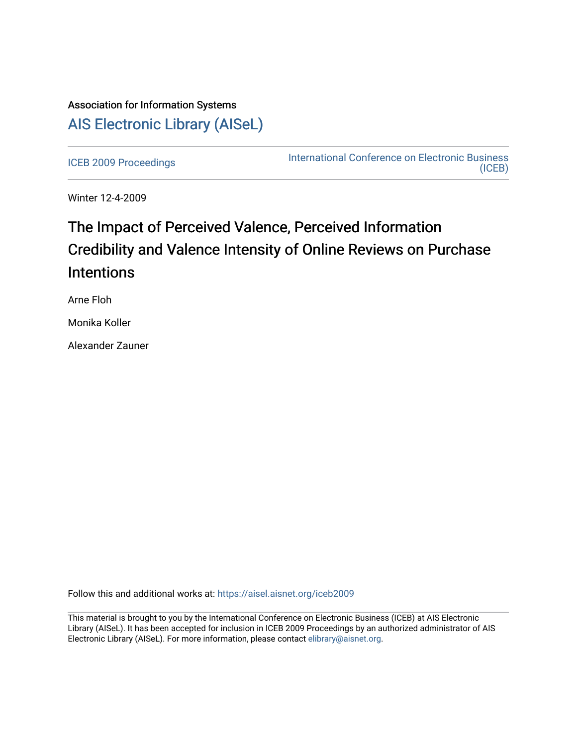## Association for Information Systems [AIS Electronic Library \(AISeL\)](https://aisel.aisnet.org/)

[ICEB 2009 Proceedings](https://aisel.aisnet.org/iceb2009) **International Conference on Electronic Business** [\(ICEB\)](https://aisel.aisnet.org/iceb) 

Winter 12-4-2009

# The Impact of Perceived Valence, Perceived Information Credibility and Valence Intensity of Online Reviews on Purchase **Intentions**

Arne Floh

Monika Koller

Alexander Zauner

Follow this and additional works at: [https://aisel.aisnet.org/iceb2009](https://aisel.aisnet.org/iceb2009?utm_source=aisel.aisnet.org%2Ficeb2009%2F19&utm_medium=PDF&utm_campaign=PDFCoverPages)

This material is brought to you by the International Conference on Electronic Business (ICEB) at AIS Electronic Library (AISeL). It has been accepted for inclusion in ICEB 2009 Proceedings by an authorized administrator of AIS Electronic Library (AISeL). For more information, please contact [elibrary@aisnet.org.](mailto:elibrary@aisnet.org%3E)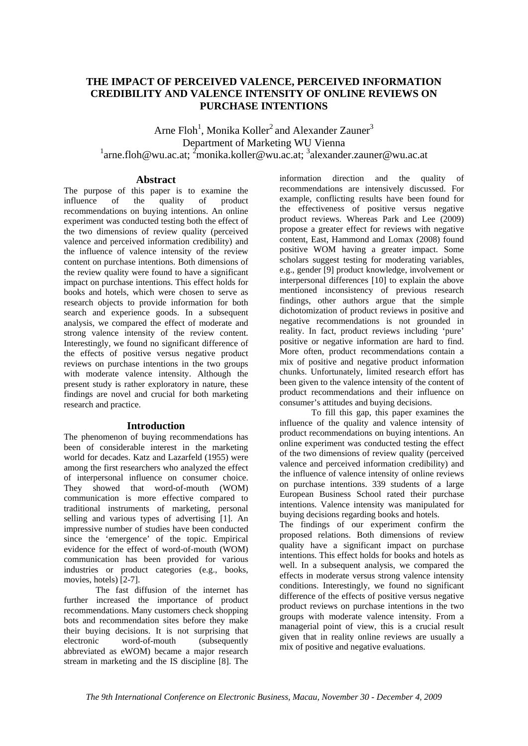## **THE IMPACT OF PERCEIVED VALENCE, PERCEIVED INFORMATION CREDIBILITY AND VALENCE INTENSITY OF ONLINE REVIEWS ON PURCHASE INTENTIONS**

Arne Floh<sup>1</sup>, Monika Koller<sup>2</sup> and Alexander Zauner<sup>3</sup> Department of Marketing WU Vienna  $1$ arne.floh@wu.ac.at;  $2$ monika.koller@wu.ac.at;  $3$ alexander.zauner@wu.ac.at

### **Abstract**

The purpose of this paper is to examine the influence of the quality of product recommendations on buying intentions. An online experiment was conducted testing both the effect of the two dimensions of review quality (perceived valence and perceived information credibility) and the influence of valence intensity of the review content on purchase intentions. Both dimensions of the review quality were found to have a significant impact on purchase intentions. This effect holds for books and hotels, which were chosen to serve as research objects to provide information for both search and experience goods. In a subsequent analysis, we compared the effect of moderate and strong valence intensity of the review content. Interestingly, we found no significant difference of the effects of positive versus negative product reviews on purchase intentions in the two groups with moderate valence intensity. Although the present study is rather exploratory in nature, these findings are novel and crucial for both marketing research and practice.

## **Introduction**

The phenomenon of buying recommendations has been of considerable interest in the marketing world for decades. Katz and Lazarfeld (1955) were among the first researchers who analyzed the effect of interpersonal influence on consumer choice. They showed that word-of-mouth (WOM) communication is more effective compared to traditional instruments of marketing, personal selling and various types of advertising [1]. An impressive number of studies have been conducted since the 'emergence' of the topic. Empirical evidence for the effect of word-of-mouth (WOM) communication has been provided for various industries or product categories (e.g., books, movies, hotels) [2-7].

The fast diffusion of the internet has further increased the importance of product recommendations. Many customers check shopping bots and recommendation sites before they make their buying decisions. It is not surprising that electronic word-of-mouth (subsequently abbreviated as eWOM) became a major research stream in marketing and the IS discipline [8]. The information direction and the quality of recommendations are intensively discussed. For example, conflicting results have been found for the effectiveness of positive versus negative product reviews. Whereas Park and Lee (2009) propose a greater effect for reviews with negative content, East, Hammond and Lomax (2008) found positive WOM having a greater impact. Some scholars suggest testing for moderating variables, e.g., gender [9] product knowledge, involvement or interpersonal differences [10] to explain the above mentioned inconsistency of previous research findings, other authors argue that the simple dichotomization of product reviews in positive and negative recommendations is not grounded in reality. In fact, product reviews including 'pure' positive or negative information are hard to find. More often, product recommendations contain a mix of positive and negative product information chunks. Unfortunately, limited research effort has been given to the valence intensity of the content of product recommendations and their influence on consumer's attitudes and buying decisions.

To fill this gap, this paper examines the influence of the quality and valence intensity of product recommendations on buying intentions. An online experiment was conducted testing the effect of the two dimensions of review quality (perceived valence and perceived information credibility) and the influence of valence intensity of online reviews on purchase intentions. 339 students of a large European Business School rated their purchase intentions. Valence intensity was manipulated for buying decisions regarding books and hotels.

The findings of our experiment confirm the proposed relations. Both dimensions of review quality have a significant impact on purchase intentions. This effect holds for books and hotels as well. In a subsequent analysis, we compared the effects in moderate versus strong valence intensity conditions. Interestingly, we found no significant difference of the effects of positive versus negative product reviews on purchase intentions in the two groups with moderate valence intensity. From a managerial point of view, this is a crucial result given that in reality online reviews are usually a mix of positive and negative evaluations.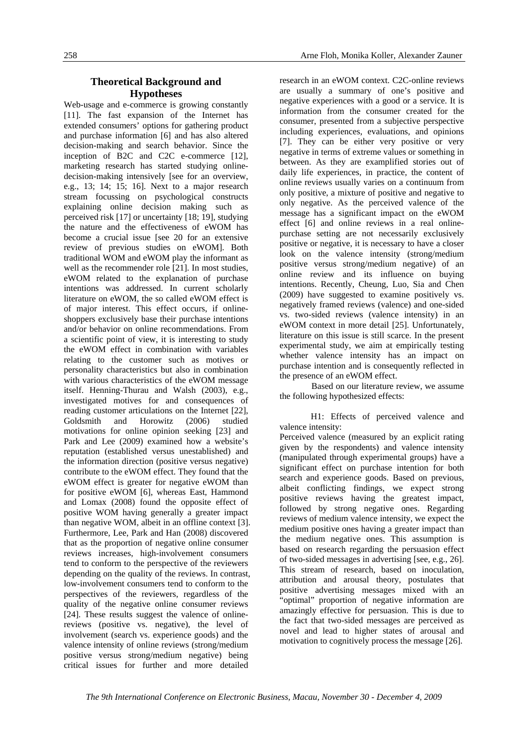## **Theoretical Background and Hypotheses**

Web-usage and e-commerce is growing constantly [11]. The fast expansion of the Internet has extended consumers' options for gathering product and purchase information [6] and has also altered decision-making and search behavior. Since the inception of B2C and C2C e-commerce [12], marketing research has started studying onlinedecision-making intensively [see for an overview, e.g., 13; 14; 15; 16]. Next to a major research stream focussing on psychological constructs explaining online decision making such as perceived risk [17] or uncertainty [18; 19], studying the nature and the effectiveness of eWOM has become a crucial issue [see 20 for an extensive review of previous studies on eWOM]. Both traditional WOM and eWOM play the informant as well as the recommender role [21]. In most studies, eWOM related to the explanation of purchase intentions was addressed. In current scholarly literature on eWOM, the so called eWOM effect is of major interest. This effect occurs, if onlineshoppers exclusively base their purchase intentions and/or behavior on online recommendations. From a scientific point of view, it is interesting to study the eWOM effect in combination with variables relating to the customer such as motives or personality characteristics but also in combination with various characteristics of the eWOM message itself. Henning-Thurau and Walsh (2003), e.g., investigated motives for and consequences of reading customer articulations on the Internet [22], Goldsmith and Horowitz (2006) studied motivations for online opinion seeking [23] and Park and Lee (2009) examined how a website's reputation (established versus unestablished) and the information direction (positive versus negative) contribute to the eWOM effect. They found that the eWOM effect is greater for negative eWOM than for positive eWOM [6], whereas East, Hammond and Lomax (2008) found the opposite effect of positive WOM having generally a greater impact than negative WOM, albeit in an offline context [3]. Furthermore, Lee, Park and Han (2008) discovered that as the proportion of negative online consumer reviews increases, high-involvement consumers tend to conform to the perspective of the reviewers depending on the quality of the reviews. In contrast, low-involvement consumers tend to conform to the perspectives of the reviewers, regardless of the quality of the negative online consumer reviews [24]. These results suggest the valence of onlinereviews (positive vs. negative), the level of involvement (search vs. experience goods) and the valence intensity of online reviews (strong/medium positive versus strong/medium negative) being critical issues for further and more detailed

research in an eWOM context. C2C-online reviews are usually a summary of one's positive and negative experiences with a good or a service. It is information from the consumer created for the consumer, presented from a subjective perspective including experiences, evaluations, and opinions [7]. They can be either very positive or very negative in terms of extreme values or something in between. As they are examplified stories out of daily life experiences, in practice, the content of online reviews usually varies on a continuum from only positive, a mixture of positive and negative to only negative. As the perceived valence of the message has a significant impact on the eWOM effect [6] and online reviews in a real onlinepurchase setting are not necessarily exclusively positive or negative, it is necessary to have a closer look on the valence intensity (strong/medium positive versus strong/medium negative) of an online review and its influence on buying intentions. Recently, Cheung, Luo, Sia and Chen (2009) have suggested to examine positively vs. negatively framed reviews (valence) and one-sided vs. two-sided reviews (valence intensity) in an eWOM context in more detail [25]. Unfortunately, literature on this issue is still scarce. In the present experimental study, we aim at empirically testing whether valence intensity has an impact on purchase intention and is consequently reflected in the presence of an eWOM effect.

Based on our literature review, we assume the following hypothesized effects:

H1: Effects of perceived valence and valence intensity:

Perceived valence (measured by an explicit rating given by the respondents) and valence intensity (manipulated through experimental groups) have a significant effect on purchase intention for both search and experience goods. Based on previous, albeit conflicting findings, we expect strong positive reviews having the greatest impact, followed by strong negative ones. Regarding reviews of medium valence intensity, we expect the medium positive ones having a greater impact than the medium negative ones. This assumption is based on research regarding the persuasion effect of two-sided messages in advertising [see, e.g., 26]. This stream of research, based on inoculation, attribution and arousal theory, postulates that positive advertising messages mixed with an "optimal" proportion of negative information are amazingly effective for persuasion. This is due to the fact that two-sided messages are perceived as novel and lead to higher states of arousal and motivation to cognitively process the message [26].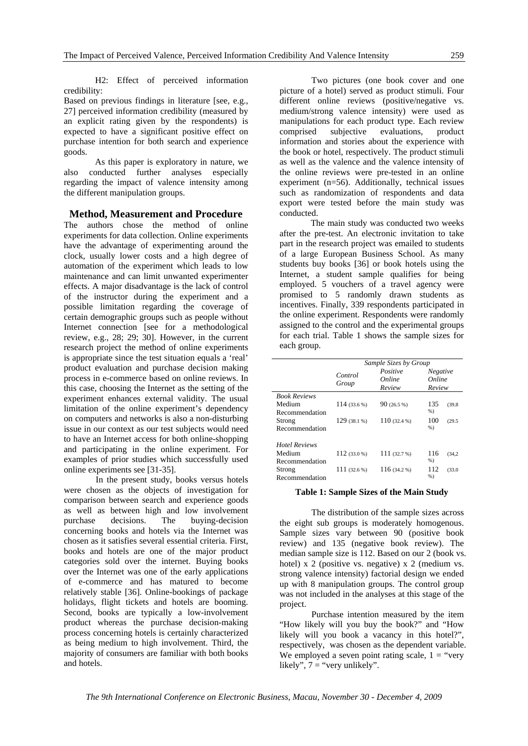H2: Effect of perceived information credibility:

Based on previous findings in literature [see, e.g., 27] perceived information credibility (measured by an explicit rating given by the respondents) is expected to have a significant positive effect on purchase intention for both search and experience goods.

As this paper is exploratory in nature, we also conducted further analyses especially regarding the impact of valence intensity among the different manipulation groups.

#### **Method, Measurement and Procedure**

The authors chose the method of online experiments for data collection. Online experiments have the advantage of experimenting around the clock, usually lower costs and a high degree of automation of the experiment which leads to low maintenance and can limit unwanted experimenter effects. A major disadvantage is the lack of control of the instructor during the experiment and a possible limitation regarding the coverage of certain demographic groups such as people without Internet connection [see for a methodological review, e.g., 28; 29; 30]. However, in the current research project the method of online experiments is appropriate since the test situation equals a 'real' product evaluation and purchase decision making process in e-commerce based on online reviews. In this case, choosing the Internet as the setting of the experiment enhances external validity. The usual limitation of the online experiment's dependency on computers and networks is also a non-disturbing issue in our context as our test subjects would need to have an Internet access for both online-shopping and participating in the online experiment. For examples of prior studies which successfully used online experiments see [31-35].

In the present study, books versus hotels were chosen as the objects of investigation for comparison between search and experience goods as well as between high and low involvement purchase decisions. The buying-decision concerning books and hotels via the Internet was chosen as it satisfies several essential criteria. First, books and hotels are one of the major product categories sold over the internet. Buying books over the Internet was one of the early applications of e-commerce and has matured to become relatively stable [36]. Online-bookings of package holidays, flight tickets and hotels are booming. Second, books are typically a low-involvement product whereas the purchase decision-making process concerning hotels is certainly characterized as being medium to high involvement. Third, the majority of consumers are familiar with both books and hotels.

Two pictures (one book cover and one picture of a hotel) served as product stimuli. Four different online reviews (positive/negative vs. medium/strong valence intensity) were used as manipulations for each product type. Each review comprised subjective evaluations, product information and stories about the experience with the book or hotel, respectively. The product stimuli as well as the valence and the valence intensity of the online reviews were pre-tested in an online experiment (n=56). Additionally, technical issues such as randomization of respondents and data export were tested before the main study was conducted.

The main study was conducted two weeks after the pre-test. An electronic invitation to take part in the research project was emailed to students of a large European Business School. As many students buy books [36] or book hotels using the Internet, a student sample qualifies for being employed. 5 vouchers of a travel agency were promised to 5 randomly drawn students as incentives. Finally, 339 respondents participated in the online experiment. Respondents were randomly assigned to the control and the experimental groups for each trial. Table 1 shows the sample sizes for each group.

|                      | Sample Sizes by Group |                              |                              |  |
|----------------------|-----------------------|------------------------------|------------------------------|--|
|                      | Control<br>Group      | Positive<br>Online<br>Review | Negative<br>Online<br>Review |  |
| <b>Book Reviews</b>  |                       |                              |                              |  |
| Medium               | 114(33.6%)            | 90(26.5%)                    | 135<br>(39.8)                |  |
| Recommendation       |                       |                              | $%$ )                        |  |
| Strong               | 129(38.1%)            | $110(32.4\%)$                | 100<br>(29.5)                |  |
| Recommendation       |                       |                              | $%$ )                        |  |
| <b>Hotel Reviews</b> |                       |                              |                              |  |
| Medium               | $112(33.0\%)$         | 111(32.7%)                   | 116<br>(34.2)                |  |
| Recommendation       |                       |                              | $%$ )                        |  |
| Strong               | $111(32.6\%)$         | 116(34.2%)                   | 112<br>(33.0)                |  |
| Recommendation       |                       |                              | $%$ )                        |  |

#### **Table 1: Sample Sizes of the Main Study**

The distribution of the sample sizes across the eight sub groups is moderately homogenous. Sample sizes vary between 90 (positive book review) and 135 (negative book review). The median sample size is 112. Based on our 2 (book vs. hotel) x 2 (positive vs. negative) x 2 (medium vs. strong valence intensity) factorial design we ended up with 8 manipulation groups. The control group was not included in the analyses at this stage of the project.

Purchase intention measured by the item "How likely will you buy the book?" and "How likely will you book a vacancy in this hotel?", respectively, was chosen as the dependent variable. We employed a seven point rating scale,  $1 =$  "very" likely",  $7 =$  "very unlikely".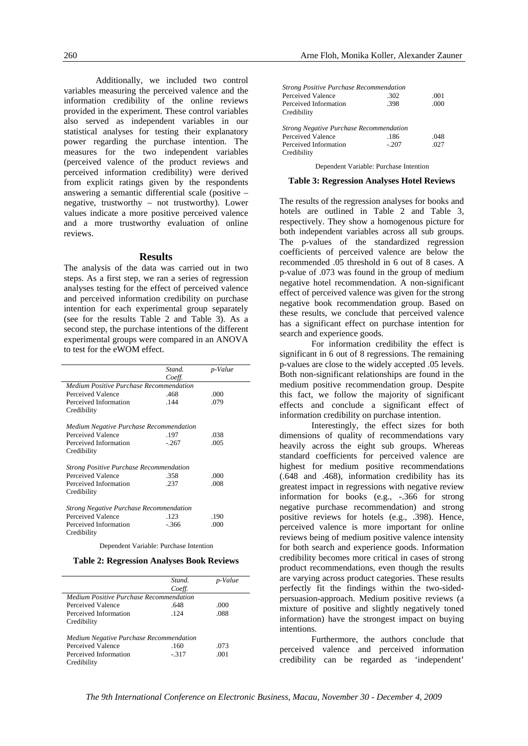Additionally, we included two control variables measuring the perceived valence and the information credibility of the online reviews provided in the experiment. These control variables also served as independent variables in our statistical analyses for testing their explanatory power regarding the purchase intention. The measures for the two independent variables (perceived valence of the product reviews and perceived information credibility) were derived from explicit ratings given by the respondents answering a semantic differential scale (positive – negative, trustworthy – not trustworthy). Lower values indicate a more positive perceived valence and a more trustworthy evaluation of online reviews.

#### **Results**

The analysis of the data was carried out in two steps. As a first step, we ran a series of regression analyses testing for the effect of perceived valence and perceived information credibility on purchase intention for each experimental group separately (see for the results Table 2 and Table 3). As a second step, the purchase intentions of the different experimental groups were compared in an ANOVA to test for the eWOM effect.

|                                                | Stand.  | p-Value |
|------------------------------------------------|---------|---------|
|                                                | Coeff.  |         |
| Medium Positive Purchase Recommendation        |         |         |
| Perceived Valence                              | .468    | .000    |
| Perceived Information                          | .144    | .079    |
| Credibility                                    |         |         |
| Medium Negative Purchase Recommendation        |         |         |
| Perceived Valence                              | .197    | .038    |
| Perceived Information                          | $-.267$ | .005    |
| Credibility                                    |         |         |
| <b>Strong Positive Purchase Recommendation</b> |         |         |
| Perceived Valence                              | .358    | .000    |
| Perceived Information                          | .237    | .008    |
| Credibility                                    |         |         |
| <b>Strong Negative Purchase Recommendation</b> |         |         |
| Perceived Valence                              | .123    | .190    |
| Perceived Information                          | $-366$  | .000    |
| Credibility                                    |         |         |

Dependent Variable: Purchase Intention

**Table 2: Regression Analyses Book Reviews** 

|                                         | <i>Stand</i> | p-Value |
|-----------------------------------------|--------------|---------|
|                                         | Coeff.       |         |
| Medium Positive Purchase Recommendation |              |         |
| Perceived Valence                       | .648         | .000    |
| Perceived Information                   | $-124$       | .088    |
| Credibility                             |              |         |
| Medium Negative Purchase Recommendation |              |         |
| Perceived Valence                       | .160         | .073    |
| Perceived Information                   | $-317$       | -001    |
| Credibility                             |              |         |

| <b>Strong Positive Purchase Recommendation</b> |         |      |
|------------------------------------------------|---------|------|
| Perceived Valence                              | .302    | .001 |
| Perceived Information                          | .398    | .000 |
| Credibility                                    |         |      |
| <b>Strong Negative Purchase Recommendation</b> |         |      |
| Perceived Valence                              | .186    | .048 |
| Perceived Information                          | $-.207$ | .027 |
| Credibility                                    |         |      |

Dependent Variable: Purchase Intention

#### **Table 3: Regression Analyses Hotel Reviews**

The results of the regression analyses for books and hotels are outlined in Table 2 and Table 3. respectively. They show a homogenous picture for both independent variables across all sub groups. The p-values of the standardized regression coefficients of perceived valence are below the recommended 05 threshold in 6 out of 8 cases. A p-value of .073 was found in the group of medium negative hotel recommendation. A non-significant effect of perceived valence was given for the strong negative book recommendation group. Based on these results, we conclude that perceived valence has a significant effect on purchase intention for search and experience goods.

For information credibility the effect is significant in 6 out of 8 regressions. The remaining p-values are close to the widely accepted .05 levels. Both non-significant relationships are found in the medium positive recommendation group. Despite this fact, we follow the majority of significant effects and conclude a significant effect of information credibility on purchase intention.

Interestingly, the effect sizes for both dimensions of quality of recommendations vary heavily across the eight sub groups. Whereas standard coefficients for perceived valence are highest for medium positive recommendations (.648 and .468), information credibility has its greatest impact in regressions with negative review information for books (e.g., -.366 for strong negative purchase recommendation) and strong positive reviews for hotels (e.g., .398). Hence, perceived valence is more important for online reviews being of medium positive valence intensity for both search and experience goods. Information credibility becomes more critical in cases of strong product recommendations, even though the results are varying across product categories. These results perfectly fit the findings within the two-sidedpersuasion-approach. Medium positive reviews (a mixture of positive and slightly negatively toned information) have the strongest impact on buying intentions.

Furthermore, the authors conclude that perceived valence and perceived information credibility can be regarded as 'independent'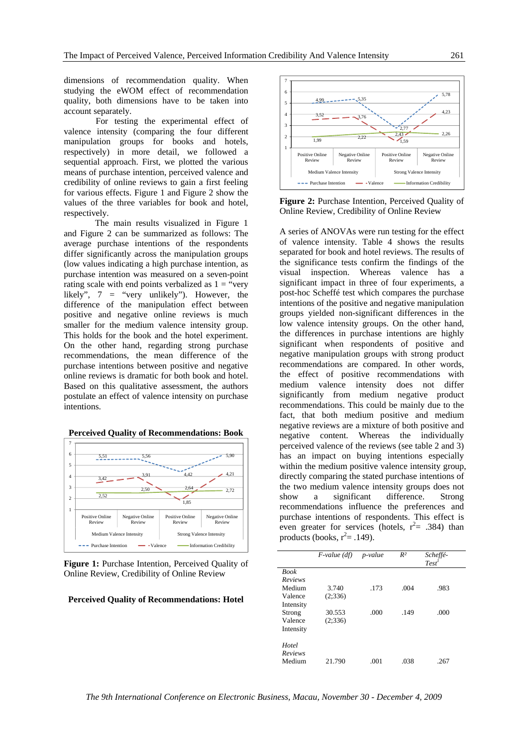dimensions of recommendation quality. When studying the eWOM effect of recommendation quality, both dimensions have to be taken into account separately.

For testing the experimental effect of valence intensity (comparing the four different manipulation groups for books and hotels, respectively) in more detail, we followed a sequential approach. First, we plotted the various means of purchase intention, perceived valence and credibility of online reviews to gain a first feeling for various effects. Figure 1 and Figure 2 show the values of the three variables for book and hotel, respectively.

The main results visualized in Figure 1 and Figure 2 can be summarized as follows: The average purchase intentions of the respondents differ significantly across the manipulation groups (low values indicating a high purchase intention, as purchase intention was measured on a seven-point rating scale with end points verbalized as  $1 =$  "very" likely", 7 = "very unlikely"). However, the difference of the manipulation effect between positive and negative online reviews is much smaller for the medium valence intensity group. This holds for the book and the hotel experiment. On the other hand, regarding strong purchase recommendations, the mean difference of the purchase intentions between positive and negative online reviews is dramatic for both book and hotel. Based on this qualitative assessment, the authors postulate an effect of valence intensity on purchase intentions.





**Figure 1:** Purchase Intention, Perceived Quality of Online Review, Credibility of Online Review

#### **Perceived Quality of Recommendations: Hotel**



**Figure 2:** Purchase Intention, Perceived Quality of Online Review, Credibility of Online Review

A series of ANOVAs were run testing for the effect of valence intensity. Table 4 shows the results separated for book and hotel reviews. The results of the significance tests confirm the findings of the visual inspection. Whereas valence has a significant impact in three of four experiments, a post-hoc Scheffé test which compares the purchase intentions of the positive and negative manipulation groups yielded non-significant differences in the low valence intensity groups. On the other hand, the differences in purchase intentions are highly significant when respondents of positive and negative manipulation groups with strong product recommendations are compared. In other words, the effect of positive recommendations with medium valence intensity does not differ significantly from medium negative product recommendations. This could be mainly due to the fact, that both medium positive and medium negative reviews are a mixture of both positive and negative content. Whereas the individually perceived valence of the reviews (see table 2 and 3) has an impact on buying intentions especially within the medium positive valence intensity group, directly comparing the stated purchase intentions of the two medium valence intensity groups does not show a significant difference. Strong recommendations influence the preferences and purchase intentions of respondents. This effect is even greater for services (hotels,  $r^2 = .384$ ) than products (books,  $r^2 = .149$ ).

|             | $F$ -value (df) | p-value | $R^2$ | Scheffé-<br>Test' |  |
|-------------|-----------------|---------|-------|-------------------|--|
| <b>Book</b> |                 |         |       |                   |  |
| Reviews     |                 |         |       |                   |  |
| Medium      | 3.740           | .173    | .004  | .983              |  |
| Valence     | (2:336)         |         |       |                   |  |
| Intensity   |                 |         |       |                   |  |
| Strong      | 30.553          | .000    | .149  | .000              |  |
| Valence     | (2:336)         |         |       |                   |  |
| Intensity   |                 |         |       |                   |  |
| Hotel       |                 |         |       |                   |  |
| Reviews     |                 |         |       |                   |  |
| Medium      | 21.790          | .001    | .038  | .267              |  |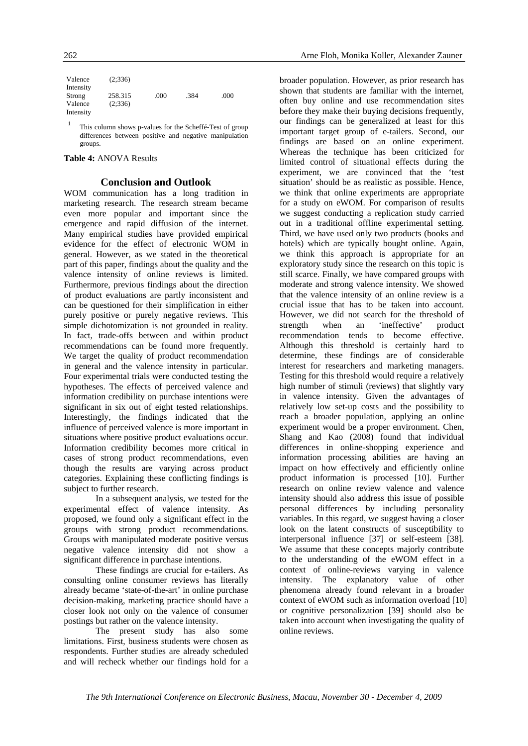| Valence   | (2:336) |      |      |      |
|-----------|---------|------|------|------|
| Intensity |         |      |      |      |
| Strong    | 258.315 | .000 | .384 | .000 |
| Valence   | (2:336) |      |      |      |
| Intensity |         |      |      |      |

This column shows p-values for the Scheffé-Test of group differences between positive and negative manipulation groups.

#### **Table 4:** ANOVA Results

#### **Conclusion and Outlook**

WOM communication has a long tradition in marketing research. The research stream became even more popular and important since the emergence and rapid diffusion of the internet. Many empirical studies have provided empirical evidence for the effect of electronic WOM in general. However, as we stated in the theoretical part of this paper, findings about the quality and the valence intensity of online reviews is limited. Furthermore, previous findings about the direction of product evaluations are partly inconsistent and can be questioned for their simplification in either purely positive or purely negative reviews. This simple dichotomization is not grounded in reality. In fact, trade-offs between and within product recommendations can be found more frequently. We target the quality of product recommendation in general and the valence intensity in particular. Four experimental trials were conducted testing the hypotheses. The effects of perceived valence and information credibility on purchase intentions were significant in six out of eight tested relationships. Interestingly, the findings indicated that the influence of perceived valence is more important in situations where positive product evaluations occur. Information credibility becomes more critical in cases of strong product recommendations, even though the results are varying across product categories. Explaining these conflicting findings is subject to further research.

In a subsequent analysis, we tested for the experimental effect of valence intensity. As proposed, we found only a significant effect in the groups with strong product recommendations. Groups with manipulated moderate positive versus negative valence intensity did not show a significant difference in purchase intentions.

These findings are crucial for e-tailers. As consulting online consumer reviews has literally already became 'state-of-the-art' in online purchase decision-making, marketing practice should have a closer look not only on the valence of consumer postings but rather on the valence intensity.

The present study has also some limitations. First, business students were chosen as respondents. Further studies are already scheduled and will recheck whether our findings hold for a broader population. However, as prior research has shown that students are familiar with the internet, often buy online and use recommendation sites before they make their buying decisions frequently, our findings can be generalized at least for this important target group of e-tailers. Second, our findings are based on an online experiment. Whereas the technique has been criticized for limited control of situational effects during the experiment, we are convinced that the 'test situation' should be as realistic as possible. Hence, we think that online experiments are appropriate for a study on eWOM. For comparison of results we suggest conducting a replication study carried out in a traditional offline experimental setting. Third, we have used only two products (books and hotels) which are typically bought online. Again, we think this approach is appropriate for an exploratory study since the research on this topic is still scarce. Finally, we have compared groups with moderate and strong valence intensity. We showed that the valence intensity of an online review is a crucial issue that has to be taken into account. However, we did not search for the threshold of strength when an 'ineffective' product recommendation tends to become effective. Although this threshold is certainly hard to determine, these findings are of considerable interest for researchers and marketing managers. Testing for this threshold would require a relatively high number of stimuli (reviews) that slightly vary in valence intensity. Given the advantages of relatively low set-up costs and the possibility to reach a broader population, applying an online experiment would be a proper environment. Chen, Shang and Kao (2008) found that individual differences in online-shopping experience and information processing abilities are having an impact on how effectively and efficiently online product information is processed [10]. Further research on online review valence and valence intensity should also address this issue of possible personal differences by including personality variables. In this regard, we suggest having a closer look on the latent constructs of susceptibility to interpersonal influence [37] or self-esteem [38]. We assume that these concepts majorly contribute to the understanding of the eWOM effect in a context of online-reviews varying in valence intensity. The explanatory value of other phenomena already found relevant in a broader context of eWOM such as information overload [10] or cognitive personalization [39] should also be taken into account when investigating the quality of online reviews.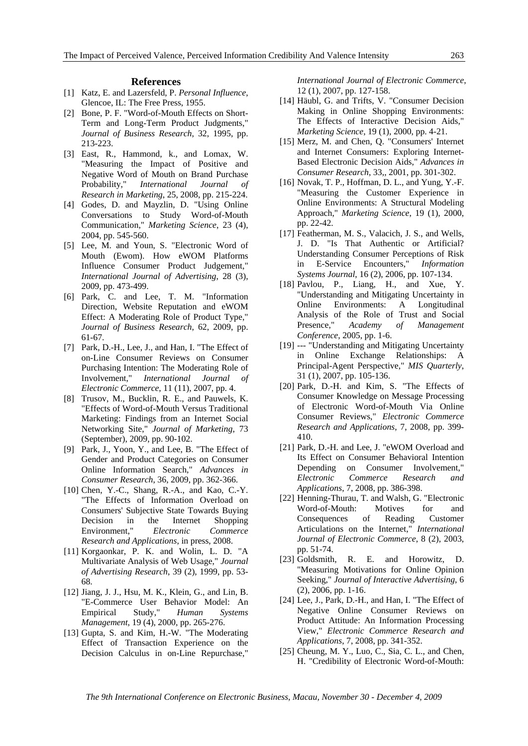#### **References**

- [1] Katz, E. and Lazersfeld, P. *Personal Influence*, Glencoe, IL: The Free Press, 1955.
- [2] Bone, P. F. "Word-of-Mouth Effects on Short-Term and Long-Term Product Judgments," *Journal of Business Research*, 32, 1995, pp. 213-223.
- [3] East, R., Hammond, k., and Lomax, W. "Measuring the Impact of Positive and Negative Word of Mouth on Brand Purchase Probability," *International Journal of Research in Marketing*, 25, 2008, pp. 215-224.
- [4] Godes, D. and Mayzlin, D. "Using Online Conversations to Study Word-of-Mouth Communication," *Marketing Science*, 23 (4), 2004, pp. 545-560.
- [5] Lee, M. and Youn, S. "Electronic Word of Mouth (Ewom). How eWOM Platforms Influence Consumer Product Judgement," *International Journal of Advertising*, 28 (3), 2009, pp. 473-499.
- [6] Park, C. and Lee, T. M. "Information Direction, Website Reputation and eWOM Effect: A Moderating Role of Product Type," *Journal of Business Research*, 62, 2009, pp. 61-67.
- [7] Park, D.-H., Lee, J., and Han, I. "The Effect of on-Line Consumer Reviews on Consumer Purchasing Intention: The Moderating Role of Involvement," *International Journal of Electronic Commerce*, 11 (11), 2007, pp. 4.
- [8] Trusov, M., Bucklin, R. E., and Pauwels, K. "Effects of Word-of-Mouth Versus Traditional Marketing: Findings from an Internet Social Networking Site," *Journal of Marketing*, 73 (September), 2009, pp. 90-102.
- [9] Park, J., Yoon, Y., and Lee, B. "The Effect of Gender and Product Categories on Consumer Online Information Search," *Advances in Consumer Research*, 36, 2009, pp. 362-366.
- [10] Chen, Y.-C., Shang, R.-A., and Kao, C.-Y. "The Effects of Information Overload on Consumers' Subjective State Towards Buying Decision in the Internet Shopping Environment," *Electronic Commerce Research and Applications*, in press, 2008.
- [11] Korgaonkar, P. K. and Wolin, L. D. "A Multivariate Analysis of Web Usage," *Journal of Advertising Research*, 39 (2), 1999, pp. 53- 68.
- [12] Jiang, J. J., Hsu, M. K., Klein, G., and Lin, B. "E-Commerce User Behavior Model: An Empirical Study," *Human Systems Management*, 19 (4), 2000, pp. 265-276.
- [13] Gupta, S. and Kim, H.-W. "The Moderating Effect of Transaction Experience on the Decision Calculus in on-Line Repurchase,"

*International Journal of Electronic Commerce*, 12 (1), 2007, pp. 127-158.

- [14] Häubl, G. and Trifts, V. "Consumer Decision Making in Online Shopping Environments: The Effects of Interactive Decision Aids," *Marketing Science*, 19 (1), 2000, pp. 4-21.
- [15] Merz, M. and Chen, O. "Consumers' Internet and Internet Consumers: Exploring Internet-Based Electronic Decision Aids," *Advances in Consumer Research*, 33,, 2001, pp. 301-302.
- [16] Novak, T. P., Hoffman, D. L., and Yung, Y.-F. "Measuring the Customer Experience in Online Environments: A Structural Modeling Approach," *Marketing Science*, 19 (1), 2000, pp. 22-42.
- [17] Featherman, M. S., Valacich, J. S., and Wells, J. D. "Is That Authentic or Artificial? Understanding Consumer Perceptions of Risk in E-Service Encounters," *Information Systems Journal*, 16 (2), 2006, pp. 107-134.
- [18] Pavlou, P., Liang, H., and Xue, Y. "Understanding and Mitigating Uncertainty in Online Environments: A Longitudinal Analysis of the Role of Trust and Social Presence," *Academy of Management Conference*, 2005, pp. 1-6.
- [19] --- "Understanding and Mitigating Uncertainty in Online Exchange Relationships: A Principal-Agent Perspective," *MIS Quarterly*, 31 (1), 2007, pp. 105-136.
- [20] Park, D.-H. and Kim, S. "The Effects of Consumer Knowledge on Message Processing of Electronic Word-of-Mouth Via Online Consumer Reviews," *Electronic Commerce Research and Applications*, 7, 2008, pp. 399- 410.
- [21] Park, D.-H. and Lee, J. "eWOM Overload and Its Effect on Consumer Behavioral Intention Depending on Consumer Involvement," *Electronic Commerce Research and Applications*, 7, 2008, pp. 386-398.
- [22] Henning-Thurau, T. and Walsh, G. "Electronic Word-of-Mouth: Motives for and Consequences of Reading Customer Articulations on the Internet," *International Journal of Electronic Commerce*, 8 (2), 2003, pp. 51-74.
- [23] Goldsmith, R. E. and Horowitz, D. "Measuring Motivations for Online Opinion Seeking," *Journal of Interactive Advertising*, 6 (2), 2006, pp. 1-16.
- [24] Lee, J., Park, D.-H., and Han, I. "The Effect of Negative Online Consumer Reviews on Product Attitude: An Information Processing View," *Electronic Commerce Research and Applications*, 7, 2008, pp. 341-352.
- [25] Cheung, M. Y., Luo, C., Sia, C. L., and Chen, H. "Credibility of Electronic Word-of-Mouth: